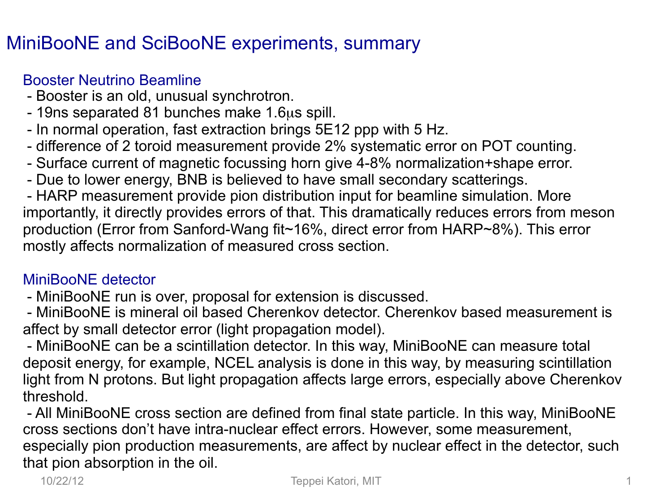## MiniBooNE and SciBooNE experiments, summary

## Booster Neutrino Beamline

- Booster is an old, unusual synchrotron.
- 19ns separated 81 bunches make 1.6µs spill.
- In normal operation, fast extraction brings 5E12 ppp with 5 Hz.
- difference of 2 toroid measurement provide 2% systematic error on POT counting.
- Surface current of magnetic focussing horn give 4-8% normalization+shape error.
- Due to lower energy, BNB is believed to have small secondary scatterings.

 - HARP measurement provide pion distribution input for beamline simulation. More importantly, it directly provides errors of that. This dramatically reduces errors from meson production (Error from Sanford-Wang fit~16%, direct error from HARP~8%). This error mostly affects normalization of measured cross section.

## MiniBooNE detector

- MiniBooNE run is over, proposal for extension is discussed.

 - MiniBooNE is mineral oil based Cherenkov detector. Cherenkov based measurement is affect by small detector error (light propagation model).

 - MiniBooNE can be a scintillation detector. In this way, MiniBooNE can measure total deposit energy, for example, NCEL analysis is done in this way, by measuring scintillation light from N protons. But light propagation affects large errors, especially above Cherenkov threshold.

 - All MiniBooNE cross section are defined from final state particle. In this way, MiniBooNE cross sections don't have intra-nuclear effect errors. However, some measurement, especially pion production measurements, are affect by nuclear effect in the detector, such that pion absorption in the oil.